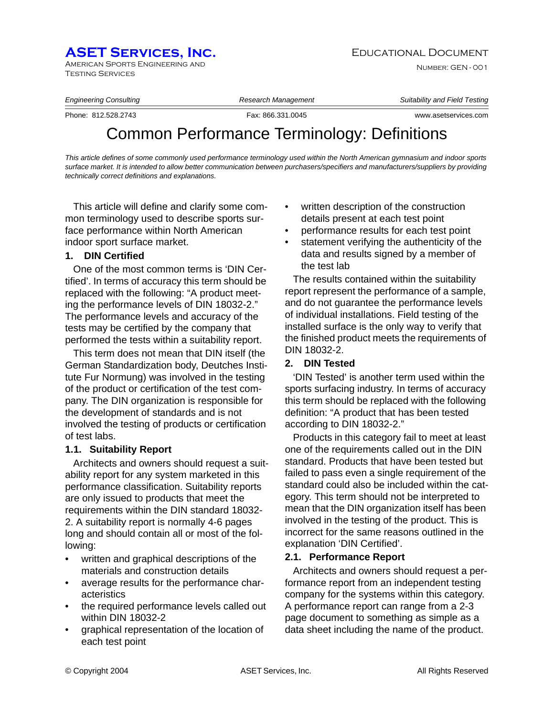## **ASET SERVICES, INC.** EDUCATIONAL DOCUMENT

American Sports Engineering and Testing Services

Number: GEN - 001

*Engineering Consulting Research Management Suitability and Field Testing*

Phone: 812.528.2743 Fax: 866.331.0045 www.asetservices.com

# Common Performance Terminology: Definitions

*This article defines of some commonly used performance terminology used within the North American gymnasium and indoor sports surface market. It is intended to allow better communication between purchasers/specifiers and manufacturers/suppliers by providing technically correct definitions and explanations.* 

This article will define and clarify some common terminology used to describe sports surface performance within North American indoor sport surface market.

### **1. DIN Certified**

One of the most common terms is 'DIN Certified'. In terms of accuracy this term should be replaced with the following: "A product meeting the performance levels of DIN 18032-2." The performance levels and accuracy of the tests may be certified by the company that performed the tests within a suitability report.

This term does not mean that DIN itself (the German Standardization body, Deutches Institute Fur Normung) was involved in the testing of the product or certification of the test company. The DIN organization is responsible for the development of standards and is not involved the testing of products or certification of test labs.

### **1.1. Suitability Report**

Architects and owners should request a suitability report for any system marketed in this performance classification. Suitability reports are only issued to products that meet the requirements within the DIN standard 18032- 2. A suitability report is normally 4-6 pages long and should contain all or most of the following:

- written and graphical descriptions of the materials and construction details
- average results for the performance characteristics
- the required performance levels called out within DIN 18032-2
- graphical representation of the location of each test point
- written description of the construction details present at each test point
- performance results for each test point
- statement verifying the authenticity of the data and results signed by a member of the test lab

The results contained within the suitability report represent the performance of a sample, and do not guarantee the performance levels of individual installations. Field testing of the installed surface is the only way to verify that the finished product meets the requirements of DIN 18032-2.

### **2. DIN Tested**

'DIN Tested' is another term used within the sports surfacing industry. In terms of accuracy this term should be replaced with the following definition: "A product that has been tested according to DIN 18032-2."

Products in this category fail to meet at least one of the requirements called out in the DIN standard. Products that have been tested but failed to pass even a single requirement of the standard could also be included within the category. This term should not be interpreted to mean that the DIN organization itself has been involved in the testing of the product. This is incorrect for the same reasons outlined in the explanation 'DIN Certified'.

### **2.1. Performance Report**

Architects and owners should request a performance report from an independent testing company for the systems within this category. A performance report can range from a 2-3 page document to something as simple as a data sheet including the name of the product.